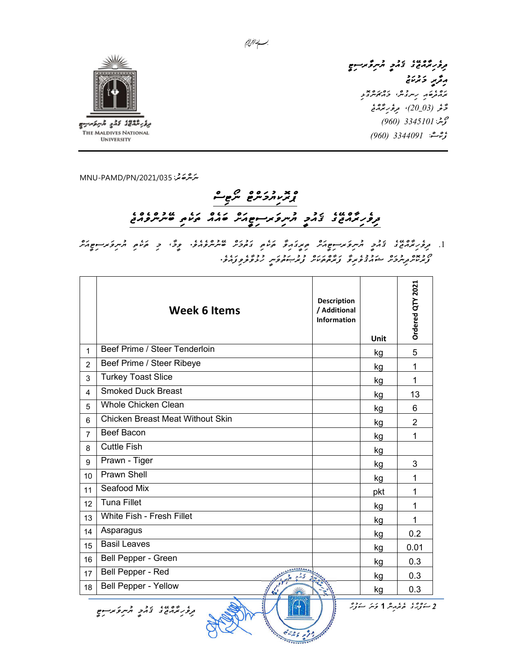

مرور برمن الملح المراكز المراكز المستوج رۇپر دىرىنى ده ده ده ده ده<br>پروتوخه رسروس، ورکوسرونو دَّخْر (03\_20)، مِرْحُرِ بَرَّدْ مَعْ گۈشن<sup>:</sup> 3345101 (960) ۇرىمىشة: 3344091 (960)

ﯩﺘﺮﯨﻘﺮﻏ ﺗﯩﺮ: 035/2021/035 MNU-PAMD

## ס אגעות כיתם יתוקים ו שפטו גל התקצת הקודות שהה הנים על היותר היום

.1 مرور درمان زد مرور مروسوم در مرد در درمان دوره و درمان درمان مرد و مردم و مردم در مردم درمان درمان<br>[. مرور درمان زارتی مردم مردم درمان درمان درمان درمان درمان درمان درمان درمانی درمانی درمانی درمانی درمان ފޯރުކޮށްދިނުމަށް ޝައުޤުވެރިވާ ފަރާތްތަކަށް ފުރުޞަތުވަނީ ހުޅުވާލެވިފައެވ.ެ

|                 | <b>Week 6 Items</b>                     | <b>Description</b><br>/ Additional<br><b>Information</b> | <b>Unit</b> | Ordered QTY 2021            |  |
|-----------------|-----------------------------------------|----------------------------------------------------------|-------------|-----------------------------|--|
| $\mathbf{1}$    | Beef Prime / Steer Tenderloin           |                                                          | kg          | 5                           |  |
| $\mathcal{P}$   | Beef Prime / Steer Ribeye               |                                                          | kg          | 1                           |  |
| 3               | <b>Turkey Toast Slice</b>               |                                                          | kg          | 1                           |  |
| 4               | <b>Smoked Duck Breast</b>               |                                                          | kg          | 13                          |  |
| 5               | <b>Whole Chicken Clean</b>              |                                                          | kg          | 6                           |  |
| 6               | <b>Chicken Breast Meat Without Skin</b> |                                                          | kg          | $\overline{2}$              |  |
| $\overline{7}$  | <b>Beef Bacon</b>                       |                                                          | kg          | 1                           |  |
| 8               | <b>Cuttle Fish</b>                      |                                                          | kg          |                             |  |
| 9               | Prawn - Tiger                           |                                                          | kg          | 3                           |  |
| 10 <sup>1</sup> | Prawn Shell                             |                                                          | kg          | 1                           |  |
| 11              | Seafood Mix                             |                                                          | pkt         | 1                           |  |
| 12              | <b>Tuna Fillet</b>                      |                                                          | kg          | 1                           |  |
| 13              | White Fish - Fresh Fillet               |                                                          | kg          | 1                           |  |
| 14              | Asparagus                               |                                                          | kg          | 0.2                         |  |
| 15              | <b>Basil Leaves</b>                     |                                                          | kg          | 0.01                        |  |
| 16              | Bell Pepper - Green                     |                                                          | kg          | 0.3                         |  |
| 17              | Bell Pepper - Red                       |                                                          | kg          | 0.3                         |  |
| 18              | <b>Bell Pepper - Yellow</b>             |                                                          | kg          | 0.3                         |  |
|                 | و ده مه ده ده مرکز در در در ده          |                                                          |             | 2 سۇۋىر مۇرىگە 1 ئىتر سۇزىر |  |

بـــــا الفرائع.<br>مــــا الفرائع.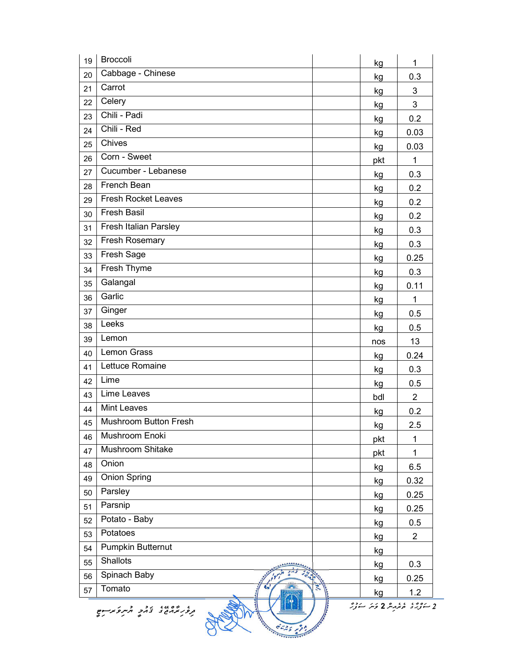| 19 | <b>Broccoli</b>                                                       | kg  | 1              |  |  |  |  |
|----|-----------------------------------------------------------------------|-----|----------------|--|--|--|--|
| 20 | Cabbage - Chinese                                                     | kg  | 0.3            |  |  |  |  |
| 21 | Carrot                                                                | kg  | 3              |  |  |  |  |
| 22 | Celery                                                                | kg  | 3              |  |  |  |  |
| 23 | Chili - Padi                                                          | kg  | 0.2            |  |  |  |  |
| 24 | Chili - Red                                                           | kg  | 0.03           |  |  |  |  |
| 25 | Chives                                                                | kg  | 0.03           |  |  |  |  |
| 26 | Corn - Sweet                                                          | pkt | 1              |  |  |  |  |
| 27 | Cucumber - Lebanese                                                   | kg  | 0.3            |  |  |  |  |
| 28 | French Bean                                                           | kg  | 0.2            |  |  |  |  |
| 29 | <b>Fresh Rocket Leaves</b>                                            | kg  | 0.2            |  |  |  |  |
| 30 | <b>Fresh Basil</b>                                                    | kg  | 0.2            |  |  |  |  |
| 31 | Fresh Italian Parsley                                                 | kg  | 0.3            |  |  |  |  |
| 32 | Fresh Rosemary                                                        | kg  | 0.3            |  |  |  |  |
| 33 | Fresh Sage                                                            | kg  | 0.25           |  |  |  |  |
| 34 | Fresh Thyme                                                           | kg  | 0.3            |  |  |  |  |
| 35 | Galangal                                                              | kg  | 0.11           |  |  |  |  |
| 36 | Garlic                                                                | kg  | $\mathbf{1}$   |  |  |  |  |
| 37 | Ginger                                                                | kg  | 0.5            |  |  |  |  |
| 38 | Leeks                                                                 | kg  | 0.5            |  |  |  |  |
| 39 | Lemon                                                                 | nos | 13             |  |  |  |  |
| 40 | <b>Lemon Grass</b>                                                    | kg  | 0.24           |  |  |  |  |
| 41 | Lettuce Romaine                                                       | kg  | 0.3            |  |  |  |  |
| 42 | Lime                                                                  | kg  | 0.5            |  |  |  |  |
| 43 | Lime Leaves                                                           | bdl | $\overline{2}$ |  |  |  |  |
| 44 | <b>Mint Leaves</b>                                                    | kg  | 0.2            |  |  |  |  |
| 45 | <b>Mushroom Button Fresh</b>                                          | kg  | 2.5            |  |  |  |  |
| 46 | Mushroom Enoki                                                        | pkt | 1              |  |  |  |  |
| 47 | Mushroom Shitake                                                      | pkt | 1              |  |  |  |  |
| 48 | Onion                                                                 | kg  | 6.5            |  |  |  |  |
| 49 | <b>Onion Spring</b>                                                   | kg  | 0.32           |  |  |  |  |
| 50 | Parsley                                                               | kg  | 0.25           |  |  |  |  |
| 51 | Parsnip                                                               | kg  | 0.25           |  |  |  |  |
| 52 | Potato - Baby                                                         | kg  | 0.5            |  |  |  |  |
| 53 | Potatoes                                                              | kg  | $\overline{2}$ |  |  |  |  |
| 54 | Pumpkin Butternut                                                     | kg  |                |  |  |  |  |
| 55 | Shallots                                                              | kg  | 0.3            |  |  |  |  |
| 56 | Spinach Baby                                                          | kg  | 0.25           |  |  |  |  |
| 57 | Tomato                                                                | kg  | 1.2            |  |  |  |  |
|    | رەم، ، ، ، ھەر كەنگە سۇز <sup>ە</sup><br>، ده ما، دو در در در در در د |     |                |  |  |  |  |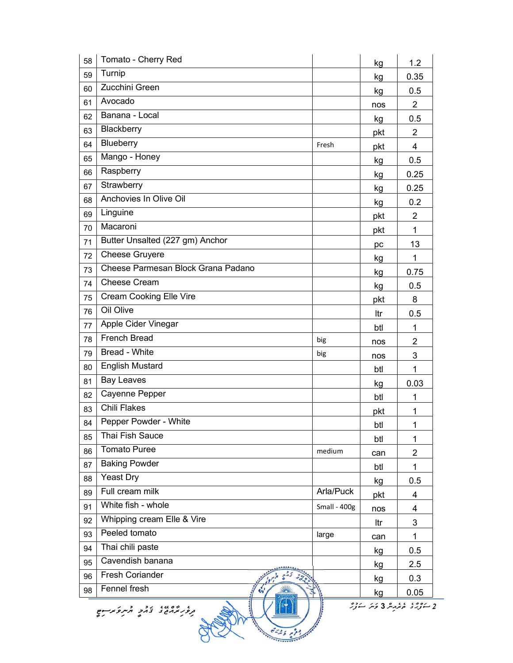| 58 | Tomato - Cherry Red                                      |              | kg  | 1.2            |  |  |  |
|----|----------------------------------------------------------|--------------|-----|----------------|--|--|--|
| 59 | Turnip                                                   |              | kg  | 0.35           |  |  |  |
| 60 | Zucchini Green                                           |              | kg  | 0.5            |  |  |  |
| 61 | Avocado                                                  |              | nos | $\overline{2}$ |  |  |  |
| 62 | Banana - Local                                           |              | kg  | 0.5            |  |  |  |
| 63 | Blackberry                                               |              | pkt | $\overline{2}$ |  |  |  |
| 64 | Blueberry                                                | Fresh        | pkt | 4              |  |  |  |
| 65 | Mango - Honey                                            |              | kg  | 0.5            |  |  |  |
| 66 | Raspberry                                                |              | kg  | 0.25           |  |  |  |
| 67 | Strawberry                                               |              | kg  | 0.25           |  |  |  |
| 68 | Anchovies In Olive Oil                                   |              | kg  | 0.2            |  |  |  |
| 69 | Linguine                                                 |              | pkt | $\overline{2}$ |  |  |  |
| 70 | Macaroni                                                 |              | pkt | $\mathbf{1}$   |  |  |  |
| 71 | Butter Unsalted (227 gm) Anchor                          |              | pc  | 13             |  |  |  |
| 72 | <b>Cheese Gruyere</b>                                    |              | kg  | 1              |  |  |  |
| 73 | Cheese Parmesan Block Grana Padano                       |              | kg  | 0.75           |  |  |  |
| 74 | <b>Cheese Cream</b>                                      |              | kg  | 0.5            |  |  |  |
| 75 | <b>Cream Cooking Elle Vire</b>                           |              | pkt | 8              |  |  |  |
| 76 | Oil Olive                                                |              | ltr | 0.5            |  |  |  |
| 77 | Apple Cider Vinegar                                      |              | btl | 1              |  |  |  |
| 78 | <b>French Bread</b>                                      | big          | nos | $\overline{c}$ |  |  |  |
| 79 | Bread - White                                            | big          | nos | 3              |  |  |  |
| 80 | <b>English Mustard</b>                                   |              | btl | $\mathbf 1$    |  |  |  |
| 81 | <b>Bay Leaves</b>                                        |              | kg  | 0.03           |  |  |  |
| 82 | Cayenne Pepper                                           |              | btl | 1              |  |  |  |
| 83 | <b>Chili Flakes</b>                                      |              | pkt | 1              |  |  |  |
| 84 | Pepper Powder - White                                    |              | btl | 1              |  |  |  |
| 85 | Thai Fish Sauce                                          |              | btl | $\mathbf{1}$   |  |  |  |
| 86 | <b>Tomato Puree</b>                                      | medium       | can | $\overline{2}$ |  |  |  |
| 87 | <b>Baking Powder</b>                                     |              | btl | 1              |  |  |  |
| 88 | <b>Yeast Dry</b>                                         |              | kg  | 0.5            |  |  |  |
| 89 | Full cream milk                                          | Arla/Puck    | pkt | 4              |  |  |  |
| 91 | White fish - whole                                       | Small - 400g | nos | 4              |  |  |  |
| 92 | Whipping cream Elle & Vire                               |              | ltr | 3              |  |  |  |
| 93 | Peeled tomato                                            | large        | can | 1              |  |  |  |
| 94 | Thai chili paste                                         |              | kg  | 0.5            |  |  |  |
| 95 | Cavendish banana                                         |              | kg  | 2.5            |  |  |  |
| 96 | Fresh Coriander                                          |              | kg  | 0.3            |  |  |  |
| 98 | Fennel fresh                                             |              | kg  | 0.05           |  |  |  |
|    | 2 سۇنىڭ ھېزىرىنىڭ قوش سۇزگر<br>، ده ده ، د د د مرکز در د |              |     |                |  |  |  |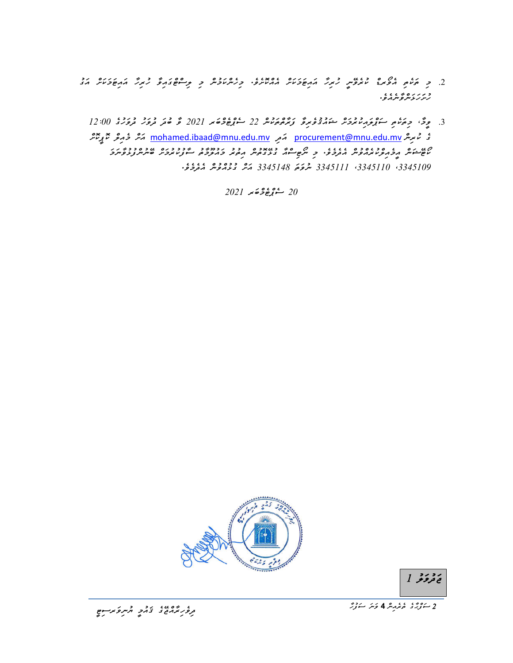.2 ﭼ ﻣﯘﭘﺮ ﺩﻭﻡ ﻣﺮﮐﺮﺩﻩ ، 2 ﺩﻭﻣﺮﻣﺮﺩﻩ ﺩﻭ ﻣﺮﻣﺮﯨﺮﺩﻩ ﺩ ﻣﻮﻣﺮﻩ ﺩ ﺩ ﺩ ﻣﺮﻡ ﻣﺮﺩﻩ ﺩﺩﻩ ﺩﻭ ﺩﻭ ﺩﺭﻩ ﻣﺪﻭ ﺩﺩﻩ ﻣﺪﻭ<br>2. ﭼ ﻣﯘﻟﻮ ﻣﻮﻳﺮﺀ ﺩﺭﻭﺭ ﺩ ﻣﺮﻩ ﻣﻮﺭﺩﻩ ﺑﺮﺩﺭﻩ ﺩﺭ ﻣﺮﯨﻠﻮﺭ ﺩ ﻣﺮﯨﻠﻪﺭ ﺩﺭ ﺩﺭ د ر ر ر ر ر ر ر .<br>ر ر ر ر ر سر و سر د و .

.3 وِحٌ، حِمَّرْمِ سَرْوَمِرْ دِوْرَ مِنْ دَوْمِرِمَّ رَءُهُ رَوْهِ 12:00 مِنْ 12:00 مَّ قَوْمَ دِوْرَ 20:00 ك غ مُوسِرٌ <u>mohamed.ibaad@mnu.edu.mv</u> مَحرِ مِحرِّمَ يَعْتَبُرُ procurement@mnu.edu.mv مَسْرٌ وُمِرِعْرٌ مُعَ يَ ކޯޓޭޝަން އީމެއިލްކުރެއްވުން އެދެމެވ.ެ މި ނޯޓިސްއާ ގުޅޭގޮތުން އިތުރު މައުލޫމާތު ސާފުކުރުމަށް ބޭނުންފުޅުވާނަމަ ،3345109 ،3345110 3345111 ނުވަތަ 3345148 އަށް ގުޅުއްވުން އެދެމެވ.ެ

 $2021$   $\div$  $9\frac{6}{5}$  $\div$  $20$ 



ر د ر د<br>ج تروگر 1

ِح ﻣُﺮُﻣِّﺪُ ﻣُﺮُﻣِﻣِﺮْ 4 ﻭَﻣَﺮَ ﻣَﻨْﺭَﻫِ ﻣَﺮَّﺮَ ﻣَﻨُﺮِﻣَ ﻣَﻨﺮَّﻮَ ﻣُﺮَّﺮِﻣَ ﻣَﺮَّﺮَ ﻣُﺮَّﺮِﻣَ ﻣَﺮَّﺪِ ﻣَﺮَّﺮ